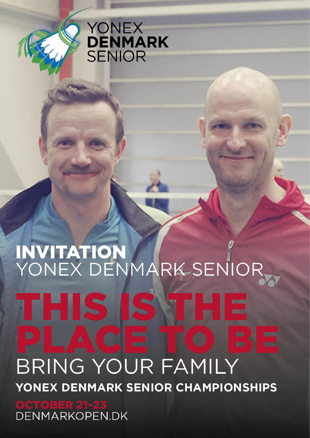

# YONEX<br>**DENMARK**<br>SENIOR

# INVITATION<br>YONEX DENMARK SENIOR **BRING YOUR FAMILY** YONEX DENMARK SENIOR CHAMPIONSHIPS

DENMARKOPEN.DK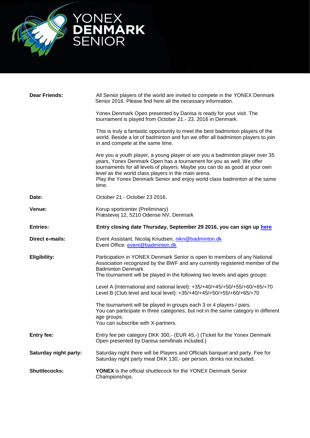

| <b>Dear Friends:</b>  | All Senior players of the world are invited to compete in the YONEX Denmark<br>Senior 2016. Please find here all the necessary information.                                                                                                                                                                                                                                      |
|-----------------------|----------------------------------------------------------------------------------------------------------------------------------------------------------------------------------------------------------------------------------------------------------------------------------------------------------------------------------------------------------------------------------|
|                       | Yonex Denmark Open presented by Danisa is ready for your visit. The<br>tournament is played from October 21 .- 23. 2016 in Denmark.                                                                                                                                                                                                                                              |
|                       | This is truly a fantastic opportunity to meet the best badminton players of the<br>world. Beside a lot of badminton and fun we offer all badminton players to join<br>in and compete at the same time.                                                                                                                                                                           |
|                       | Are you a youth player, a young player or are you a badminton player over 35<br>years, Yonex Denmark Open has a tournament for you as well. We offer<br>tournaments for all levels of players. Maybe you can do as good at your own<br>level as the world class players in the main arena.<br>Play the Yonex Denmark Senior and enjoy world class badminton at the same<br>time. |
| Date:                 | October 21 - October 23 2016.                                                                                                                                                                                                                                                                                                                                                    |
| Venue:                | Korup sportcenter (Preliminary)<br>Præstevej 12, 5210 Odense NV, Denmark                                                                                                                                                                                                                                                                                                         |
| <b>Entries:</b>       | Entry closing date Thursday, September 29 2016, you can sign up here                                                                                                                                                                                                                                                                                                             |
|                       |                                                                                                                                                                                                                                                                                                                                                                                  |
| Direct e-mails:       | Event Assistant, Nicolaj Knudsen, nikn@badminton.dk<br>Event Office: event@badminton.dk                                                                                                                                                                                                                                                                                          |
| <b>Eligibility:</b>   | Participation in YONEX Denmark Senior is open to members of any National<br>Association recognized by the BWF and any currently registered member of the<br><b>Badminton Denmark.</b><br>The tournament will be played in the following two levels and ages groups:                                                                                                              |
|                       | Level A (International and national level): +35/+40/+45/+50/+55/+60/+65/+70<br>Level B (Club level and local level): +35/+40/+45/+50/+55/+60/+65/+70                                                                                                                                                                                                                             |
|                       | The tournament will be played in groups each 3 or 4 players / pairs.<br>You can participate in three categories, but not in the same category in different<br>age groups.<br>You can subscribe with X-partners.                                                                                                                                                                  |
| <b>Entry fee:</b>     | Entry fee per category DKK 300,- (EUR 45,-) (Ticket for the Yonex Denmark<br>Open presented by Danisa semifinals included.)                                                                                                                                                                                                                                                      |
| Saturday night party: | Saturday night there will be Players and Officials banquet and party. Fee for<br>Saturday night party meal DKK 130,- per person, drinks not included.                                                                                                                                                                                                                            |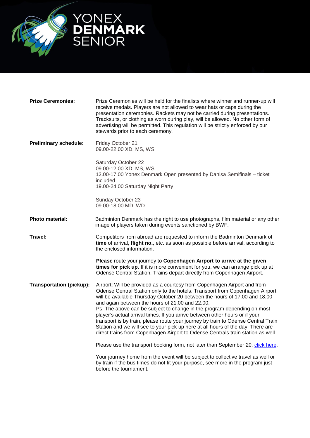

| <b>Prize Ceremonies:</b>        | Prize Ceremonies will be held for the finalists where winner and runner-up will<br>receive medals. Players are not allowed to wear hats or caps during the<br>presentation ceremonies. Rackets may not be carried during presentations.<br>Tracksuits, or clothing as worn during play, will be allowed. No other form of<br>advertising will be permitted. This regulation will be strictly enforced by our<br>stewards prior to each ceremony.                                                                                                                                                                                                                                                               |
|---------------------------------|----------------------------------------------------------------------------------------------------------------------------------------------------------------------------------------------------------------------------------------------------------------------------------------------------------------------------------------------------------------------------------------------------------------------------------------------------------------------------------------------------------------------------------------------------------------------------------------------------------------------------------------------------------------------------------------------------------------|
| <b>Preliminary schedule:</b>    | Friday October 21<br>09.00-22.00 XD, MS, WS                                                                                                                                                                                                                                                                                                                                                                                                                                                                                                                                                                                                                                                                    |
|                                 | Saturday October 22<br>09.00-12.00 XD, MS, WS<br>12.00-17.00 Yonex Denmark Open presented by Danisa Semifinals - ticket<br>included<br>19.00-24.00 Saturday Night Party                                                                                                                                                                                                                                                                                                                                                                                                                                                                                                                                        |
|                                 | Sunday October 23<br>09.00-18.00 MD, WD                                                                                                                                                                                                                                                                                                                                                                                                                                                                                                                                                                                                                                                                        |
| <b>Photo material:</b>          | Badminton Denmark has the right to use photographs, film material or any other<br>image of players taken during events sanctioned by BWF.                                                                                                                                                                                                                                                                                                                                                                                                                                                                                                                                                                      |
| Travel:                         | Competitors from abroad are requested to inform the Badminton Denmark of<br>time of arrival, flight no., etc. as soon as possible before arrival, according to<br>the enclosed information.                                                                                                                                                                                                                                                                                                                                                                                                                                                                                                                    |
|                                 | Please route your journey to Copenhagen Airport to arrive at the given<br>times for pick up. If it is more convenient for you, we can arrange pick up at<br>Odense Central Station. Trains depart directly from Copenhagen Airport.                                                                                                                                                                                                                                                                                                                                                                                                                                                                            |
| <b>Transportation (pickup):</b> | Airport: Will be provided as a courtesy from Copenhagen Airport and from<br>Odense Central Station only to the hotels. Transport from Copenhagen Airport<br>will be available Thursday October 20 between the hours of 17.00 and 18.00<br>and again between the hours of 21.00 and 22.00.<br>Ps. The above can be subject to change in the program depending on most<br>player's actual arrival times. If you arrive between other hours or if your<br>transport is by train, please route your journey by train to Odense Central Train<br>Station and we will see to your pick up here at all hours of the day. There are<br>direct trains from Copenhagen Airport to Odense Centrals train station as well. |
|                                 | Please use the transport booking form, not later than September 20, click here.                                                                                                                                                                                                                                                                                                                                                                                                                                                                                                                                                                                                                                |
|                                 | Your journey home from the event will be subject to collective travel as well or<br>by train if the bus times do not fit your purpose, see more in the program just<br>before the tournament.                                                                                                                                                                                                                                                                                                                                                                                                                                                                                                                  |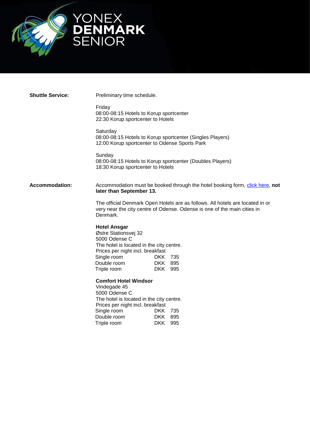

**Shuttle Service:** Preliminary time schedule.

Friday 08:00-08:15 Hotels to Korup sportcenter 22:30 Korup sportcenter to Hotels

**Saturday** 08:00-08:15 Hotels to Korup sportcenter (Singles Players) 12:00 Korup sportcenter to Odense Sports Park

**Sunday** 08:00-08:15 Hotels to Korup sportcenter (Doubles Players) 18:30 Korup sportcenter to Hotels

**Accommodation:** Accommodation must be booked through the hotel booking form, [click here,](http://91.194.37.139/fmi/iwp/cgi?-db=DO_Tilmelding_Hotel&-loadframes) not **later than September 13.**

> The official Denmark Open Hotels are as follows. All hotels are located in or very near the city centre of Odense. Odense is one of the main cities in Denmark.

## **Hotel Ansgar**

Østre Stationsvej 32 5000 Odense C The hotel is located in the city centre. Prices per night incl. breakfast<br>Single room DKK 735<br>Double room DKK 895 Single room Double room Triple room DKK 995

**Comfort Hotel Windsor** 

Vindegade 45 5000 Odense C The hotel is located in the city centre. Prices per night incl. breakfast Single room DKK 735 Double room DKK 895<br>Triple room DKK 995 Triple room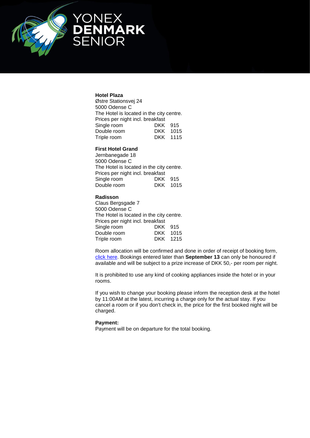

### **Hotel Plaza**

Østre Stationsvej 24 5000 Odense C The Hotel is located in the city centre. Prices per night incl. breakfast Single room Double room Fried For Ingine India<br>Single room DKK 915<br>Double room DKK 1015<br>Triple room DKK 1115

# **First Hotel Grand**

Jernbanegade 18 5000 Odense C The Hotel is located in the city centre. Prices per night incl. breakfast Single room DKK 915 Double room DKK 1015

### **Radisson**

Claus Bergsgade 7 5000 Odense C The Hotel is located in the city centre. Prices per night incl. breakfast<br>Single room DKK 915 Single room Double room DKK 1015<br>Triple room DKK 1215 Triple room

Room allocation will be confirmed and done in order of receipt of booking form, [click here.](http://91.194.37.139/fmi/iwp/cgi?-db=DO_Tilmelding_Hotel&-loadframes) Bookings entered later than **September 13** can only be honoured if available and will be subject to a prize increase of DKK 50,- per room per night.

It is prohibited to use any kind of cooking appliances inside the hotel or in your rooms.

If you wish to change your booking please inform the reception desk at the hotel by 11:00AM at the latest, incurring a charge only for the actual stay. If you cancel a room or if you don't check in, the price for the first booked night will be charged.

### **Payment:**

Payment will be on departure for the total booking.